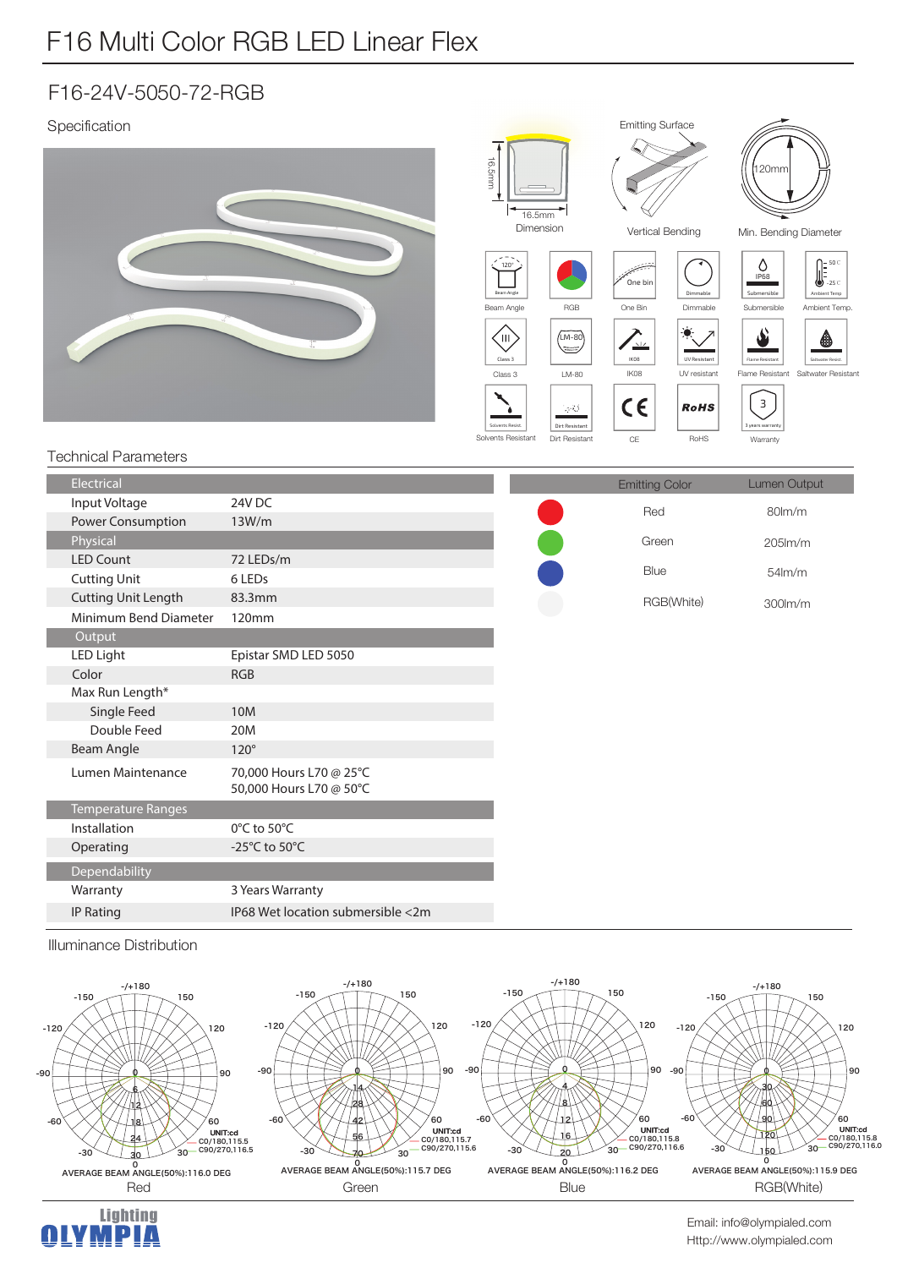## F16 Multi Color RGB LED Linear Flex

## F16-24V-5050-72-RGB

| Specification                  |                                                                    | <b>16.5mm</b>                                                                                                          |                                                                             | <b>Emitting Surface</b>                                                                    |                                                                                    | 120mm                                                                                                                                                 |                                                                                                                                                         |  |
|--------------------------------|--------------------------------------------------------------------|------------------------------------------------------------------------------------------------------------------------|-----------------------------------------------------------------------------|--------------------------------------------------------------------------------------------|------------------------------------------------------------------------------------|-------------------------------------------------------------------------------------------------------------------------------------------------------|---------------------------------------------------------------------------------------------------------------------------------------------------------|--|
|                                |                                                                    |                                                                                                                        | 16.5mm<br>Dimension                                                         |                                                                                            | Vertical Bending                                                                   |                                                                                                                                                       | Min. Bending Diameter                                                                                                                                   |  |
|                                |                                                                    | $120^\circ$<br>Beam Angle<br>Beam Angle<br>(III)<br>Class 3<br>Class 3<br><b>Solvents Resist</b><br>Solvents Resistant | RGB<br>$(M-80)$<br>رست<br>$LM-80$<br>学校<br>Dirt Resistant<br>Dirt Resistant | One bin<br>One Bin<br>$\overline{\phantom{a}}$<br>IK08<br>IK08<br>$C \in$<br>$\mathsf{CE}$ | Dimmable<br>Dimmable<br><b>UV Resistant</b><br>UV resistant<br><b>RoHS</b><br>RoHS | Ô<br><b>IP68</b><br>Submersible<br>Submersible<br>نف<br>Flame Resistant<br>Flame Resistant<br>$\overline{\mathbf{3}}$<br>3 years warranty<br>Warranty | $\begin{bmatrix} 50^{\circ} \\ 30^{\circ} \\ -25^{\circ} \end{bmatrix}$<br>Ambient Temp<br>Ambient Temp.<br><br>Saltwater Resist<br>Saltwater Resistant |  |
| <b>Technical Parameters</b>    |                                                                    |                                                                                                                        |                                                                             |                                                                                            |                                                                                    |                                                                                                                                                       |                                                                                                                                                         |  |
| Electrical                     |                                                                    |                                                                                                                        |                                                                             | <b>Emitting Color</b>                                                                      |                                                                                    | Lumen Output                                                                                                                                          |                                                                                                                                                         |  |
| Input Voltage                  | 24V DC                                                             |                                                                                                                        |                                                                             | Red                                                                                        |                                                                                    | 80lm/m                                                                                                                                                |                                                                                                                                                         |  |
| Power Consumption              | 13W/m                                                              |                                                                                                                        |                                                                             |                                                                                            |                                                                                    |                                                                                                                                                       |                                                                                                                                                         |  |
| Physical                       |                                                                    |                                                                                                                        |                                                                             | Green                                                                                      |                                                                                    |                                                                                                                                                       | 205lm/m                                                                                                                                                 |  |
| <b>LED Count</b>               | 72 LEDs/m                                                          |                                                                                                                        |                                                                             |                                                                                            | Blue                                                                               |                                                                                                                                                       | 54lm/m                                                                                                                                                  |  |
| <b>Cutting Unit</b>            | 6 LEDs                                                             |                                                                                                                        |                                                                             |                                                                                            |                                                                                    |                                                                                                                                                       |                                                                                                                                                         |  |
| <b>Cutting Unit Length</b>     | 83.3mm                                                             |                                                                                                                        | RGB(White)                                                                  |                                                                                            | 300lm/m                                                                            |                                                                                                                                                       |                                                                                                                                                         |  |
| Minimum Bend Diameter          | 120mm                                                              |                                                                                                                        |                                                                             |                                                                                            |                                                                                    |                                                                                                                                                       |                                                                                                                                                         |  |
| Output<br>$I$ FM $I$ : $I$ $I$ | $F_{\text{rel}}(t)$ $\sim$ $F_{\text{rel}}(t)$ $F_{\text{rel}}(t)$ |                                                                                                                        |                                                                             |                                                                                            |                                                                                    |                                                                                                                                                       |                                                                                                                                                         |  |

| Electrical                 |                                                    | <b>Emitting Color</b> | Lumen Output        |
|----------------------------|----------------------------------------------------|-----------------------|---------------------|
| Input Voltage              | 24V DC                                             | Red                   | 80lm/m              |
| Power Consumption          | 13W/m                                              |                       |                     |
| Physical                   |                                                    | Green                 | $205$ $\text{Im/m}$ |
| <b>LED Count</b>           | 72 LEDs/m                                          | Blue                  |                     |
| <b>Cutting Unit</b>        | 6 LED <sub>s</sub>                                 |                       | $54$ lm/m           |
| <b>Cutting Unit Length</b> | 83.3mm                                             | RGB(White)            | 300lm/m             |
| Minimum Bend Diameter      | 120mm                                              |                       |                     |
| Output                     |                                                    |                       |                     |
| <b>LED Light</b>           | Epistar SMD LED 5050                               |                       |                     |
| Color                      | <b>RGB</b>                                         |                       |                     |
| Max Run Length*            |                                                    |                       |                     |
| Single Feed                | 10M                                                |                       |                     |
| Double Feed                | 20M                                                |                       |                     |
| <b>Beam Angle</b>          | $120^\circ$                                        |                       |                     |
| Lumen Maintenance          | 70,000 Hours L70 @ 25°C<br>50,000 Hours L70 @ 50°C |                       |                     |
| <b>Temperature Ranges</b>  |                                                    |                       |                     |
| Installation               | 0°C to 50°C                                        |                       |                     |
| Operating                  | -25 $^{\circ}$ C to 50 $^{\circ}$ C                |                       |                     |
| Dependability              |                                                    |                       |                     |
| Warranty                   | 3 Years Warranty                                   |                       |                     |
| <b>IP Rating</b>           | IP68 Wet location submersible <2m                  |                       |                     |

Illuminance Distribution



Lighting<br>M **P I A** 



Http://www.olympialed.com Email: info@olympialed.com